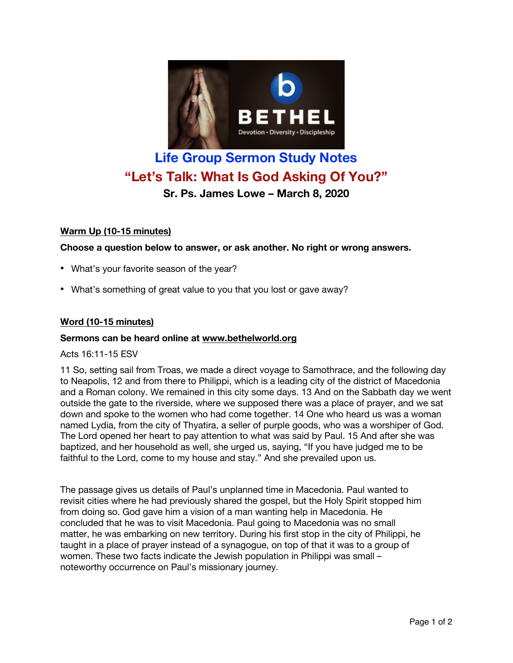

# **Life Group Sermon Study Notes "Let's Talk: What Is God Asking Of You?"**

**Sr. Ps. James Lowe – March 8, 2020**

## **Warm Up (10-15 minutes)**

**Choose a question below to answer, or ask another. No right or wrong answers.**

- What's your favorite season of the year?
- What's something of great value to you that you lost or gave away?

## **Word (10-15 minutes)**

#### **Sermons can be heard online at www.bethelworld.org**

#### Acts 16:11-15 ESV

11 So, setting sail from Troas, we made a direct voyage to Samothrace, and the following day to Neapolis, 12 and from there to Philippi, which is a leading city of the district of Macedonia and a Roman colony. We remained in this city some days. 13 And on the Sabbath day we went outside the gate to the riverside, where we supposed there was a place of prayer, and we sat down and spoke to the women who had come together. 14 One who heard us was a woman named Lydia, from the city of Thyatira, a seller of purple goods, who was a worshiper of God. The Lord opened her heart to pay attention to what was said by Paul. 15 And after she was baptized, and her household as well, she urged us, saying, "If you have judged me to be faithful to the Lord, come to my house and stay." And she prevailed upon us.

The passage gives us details of Paul's unplanned time in Macedonia. Paul wanted to revisit cities where he had previously shared the gospel, but the Holy Spirit stopped him from doing so. God gave him a vision of a man wanting help in Macedonia. He concluded that he was to visit Macedonia. Paul going to Macedonia was no small matter, he was embarking on new territory. During his first stop in the city of Philippi, he taught in a place of prayer instead of a synagogue, on top of that it was to a group of women. These two facts indicate the Jewish population in Philippi was small – noteworthy occurrence on Paul's missionary journey.